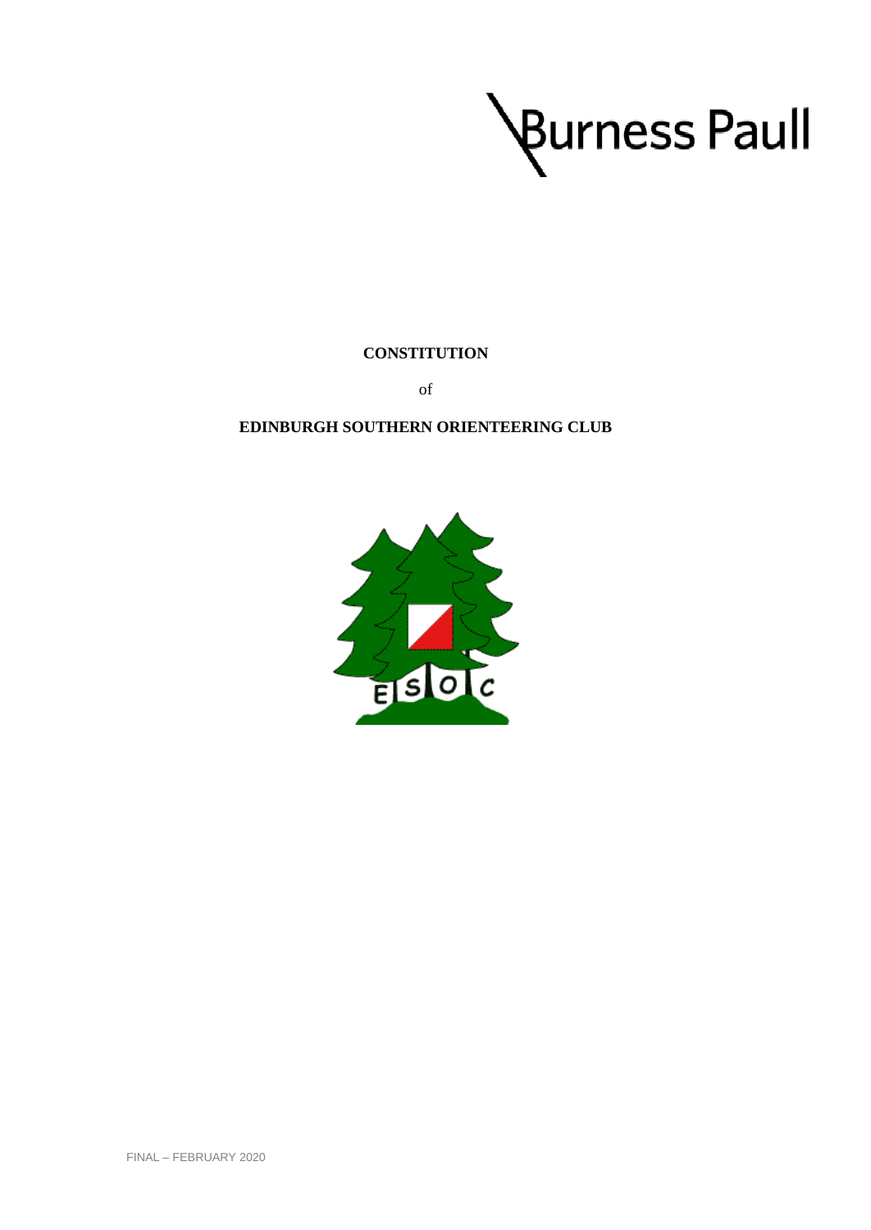

**CONSTITUTION** 

of

# **EDINBURGH SOUTHERN ORIENTEERING CLUB**

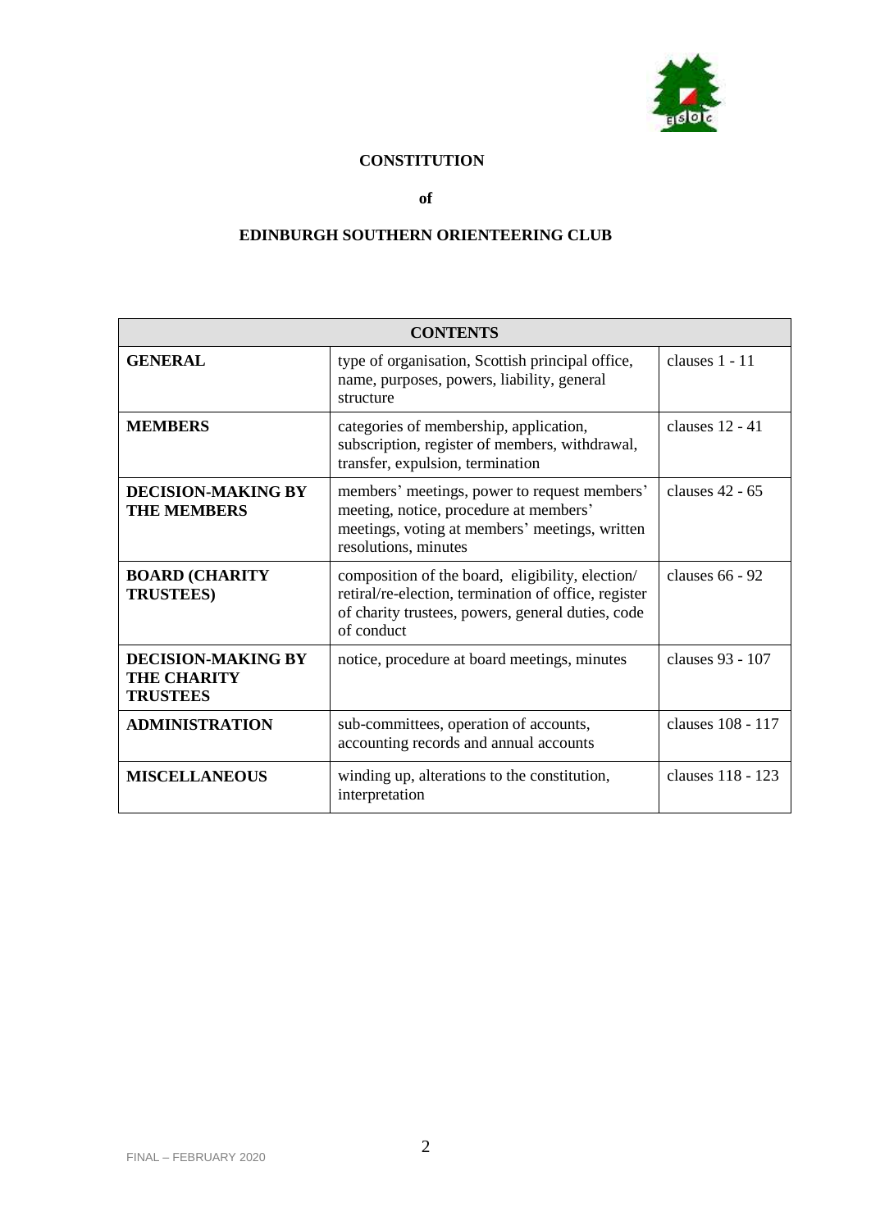

# **CONSTITUTION**

**of**

# **EDINBURGH SOUTHERN ORIENTEERING CLUB**

| <b>CONTENTS</b>                                                    |                                                                                                                                                                             |                   |
|--------------------------------------------------------------------|-----------------------------------------------------------------------------------------------------------------------------------------------------------------------------|-------------------|
| <b>GENERAL</b>                                                     | type of organisation, Scottish principal office,<br>name, purposes, powers, liability, general<br>structure                                                                 | clauses 1 - 11    |
| <b>MEMBERS</b>                                                     | categories of membership, application,<br>subscription, register of members, withdrawal,<br>transfer, expulsion, termination                                                | clauses 12 - 41   |
| <b>DECISION-MAKING BY</b><br><b>THE MEMBERS</b>                    | members' meetings, power to request members'<br>meeting, notice, procedure at members'<br>meetings, voting at members' meetings, written<br>resolutions, minutes            | clauses 42 - 65   |
| <b>BOARD (CHARITY</b><br><b>TRUSTEES)</b>                          | composition of the board, eligibility, election/<br>retiral/re-election, termination of office, register<br>of charity trustees, powers, general duties, code<br>of conduct | clauses 66 - 92   |
| <b>DECISION-MAKING BY</b><br><b>THE CHARITY</b><br><b>TRUSTEES</b> | notice, procedure at board meetings, minutes                                                                                                                                | clauses 93 - 107  |
| <b>ADMINISTRATION</b>                                              | sub-committees, operation of accounts,<br>accounting records and annual accounts                                                                                            | clauses 108 - 117 |
| <b>MISCELLANEOUS</b>                                               | winding up, alterations to the constitution,<br>interpretation                                                                                                              | clauses 118 - 123 |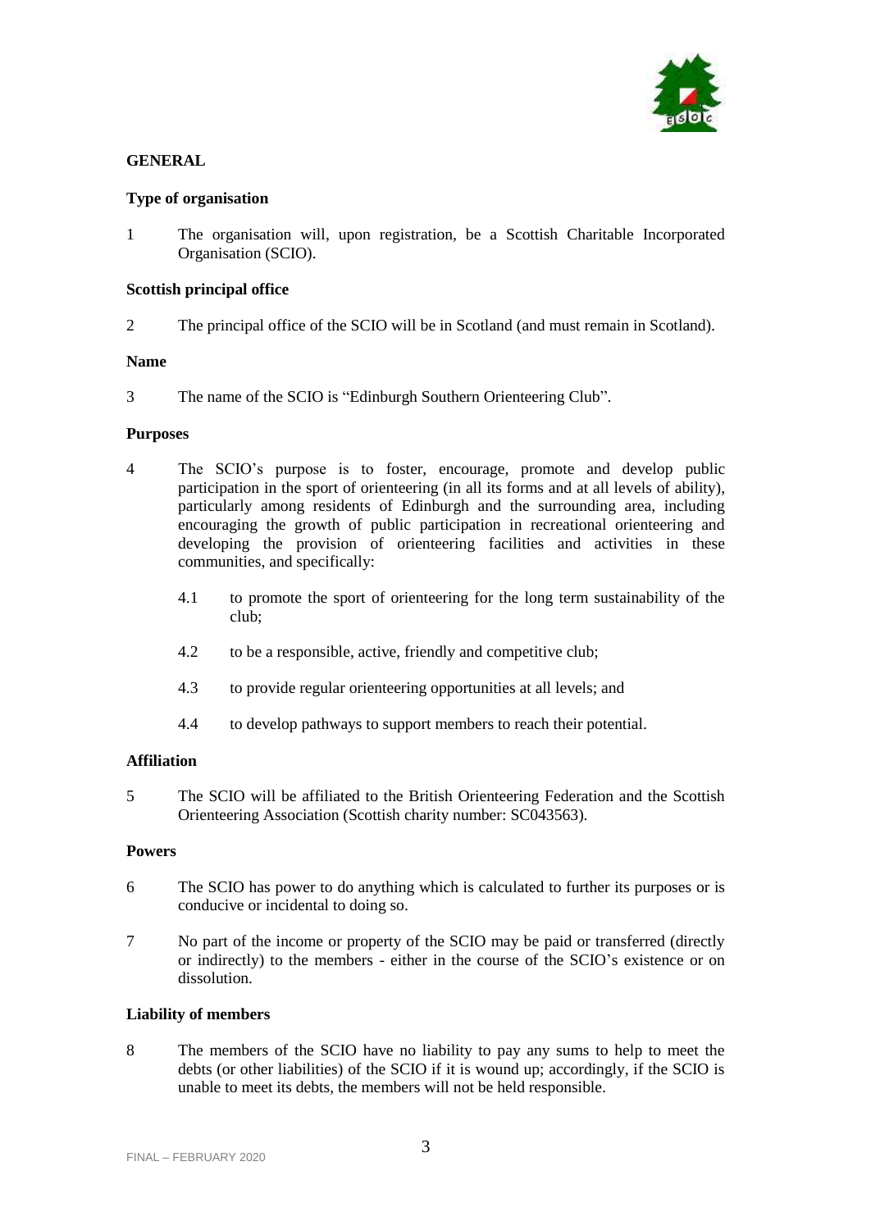

# **GENERAL**

# **Type of organisation**

1 The organisation will, upon registration, be a Scottish Charitable Incorporated Organisation (SCIO).

# **Scottish principal office**

2 The principal office of the SCIO will be in Scotland (and must remain in Scotland).

# **Name**

3 The name of the SCIO is "Edinburgh Southern Orienteering Club".

# **Purposes**

- 4 The SCIO's purpose is to foster, encourage, promote and develop public participation in the sport of orienteering (in all its forms and at all levels of ability), particularly among residents of Edinburgh and the surrounding area, including encouraging the growth of public participation in recreational orienteering and developing the provision of orienteering facilities and activities in these communities, and specifically:
	- 4.1 to promote the sport of orienteering for the long term sustainability of the club;
	- 4.2 to be a responsible, active, friendly and competitive club;
	- 4.3 to provide regular orienteering opportunities at all levels; and
	- 4.4 to develop pathways to support members to reach their potential.

# **Affiliation**

5 The SCIO will be affiliated to the British Orienteering Federation and the Scottish Orienteering Association (Scottish charity number: SC043563).

# **Powers**

- 6 The SCIO has power to do anything which is calculated to further its purposes or is conducive or incidental to doing so.
- 7 No part of the income or property of the SCIO may be paid or transferred (directly or indirectly) to the members - either in the course of the SCIO's existence or on dissolution.

# **Liability of members**

8 The members of the SCIO have no liability to pay any sums to help to meet the debts (or other liabilities) of the SCIO if it is wound up; accordingly, if the SCIO is unable to meet its debts, the members will not be held responsible.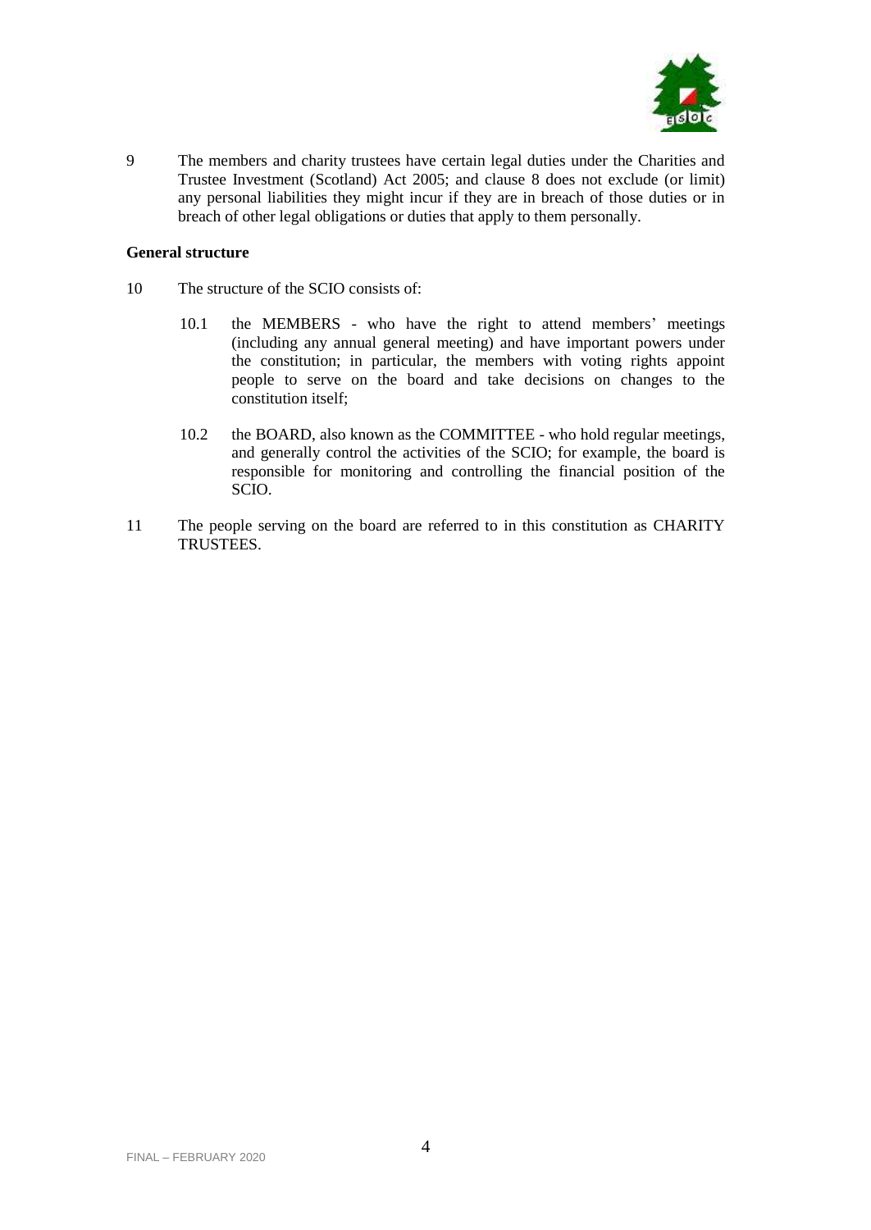

9 The members and charity trustees have certain legal duties under the Charities and Trustee Investment (Scotland) Act 2005; and clause 8 does not exclude (or limit) any personal liabilities they might incur if they are in breach of those duties or in breach of other legal obligations or duties that apply to them personally.

# **General structure**

- 10 The structure of the SCIO consists of:
	- 10.1 the MEMBERS who have the right to attend members' meetings (including any annual general meeting) and have important powers under the constitution; in particular, the members with voting rights appoint people to serve on the board and take decisions on changes to the constitution itself;
	- 10.2 the BOARD, also known as the COMMITTEE who hold regular meetings, and generally control the activities of the SCIO; for example, the board is responsible for monitoring and controlling the financial position of the SCIO.
- 11 The people serving on the board are referred to in this constitution as CHARITY TRUSTEES.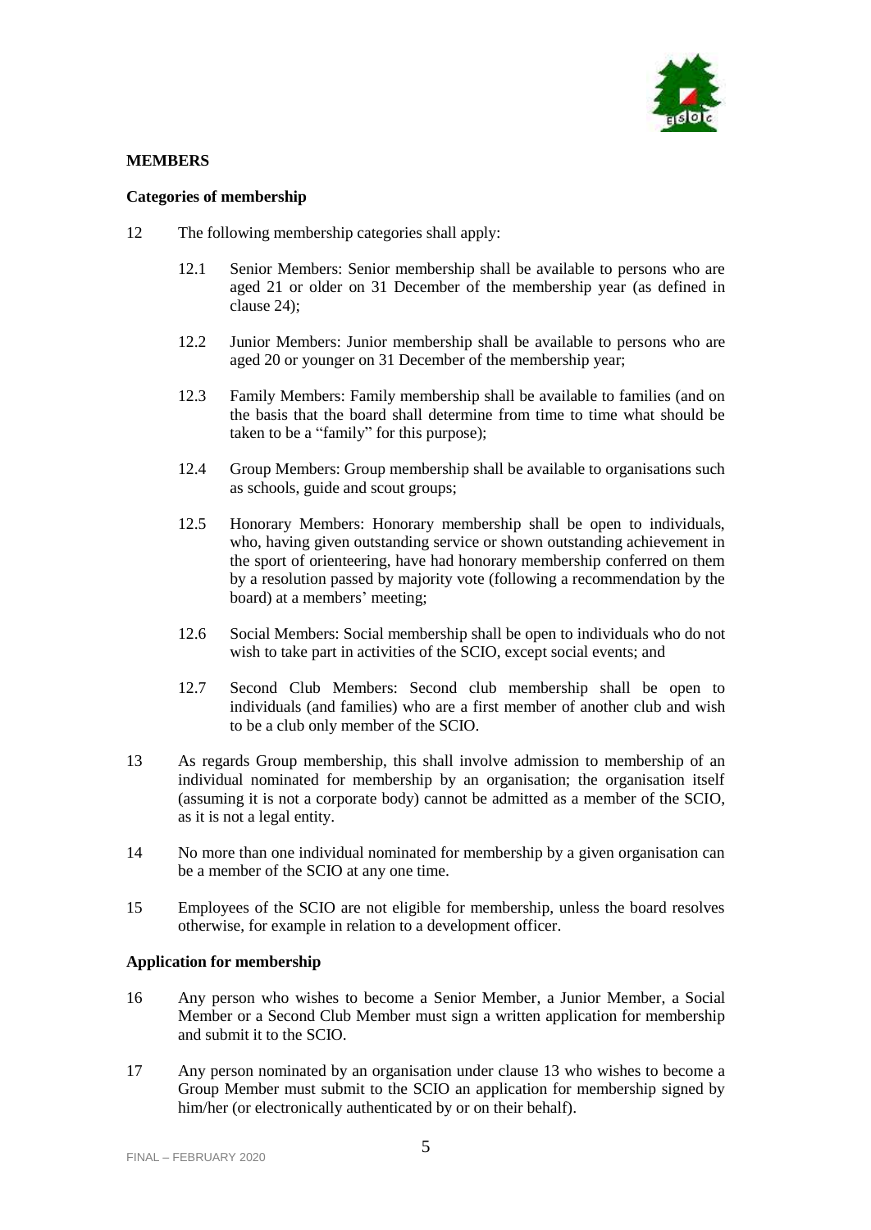

# **MEMBERS**

# **Categories of membership**

- <span id="page-4-0"></span>12 The following membership categories shall apply:
	- 12.1 Senior Members: Senior membership shall be available to persons who are aged 21 or older on 31 December of the membership year (as defined in clause 24);
	- 12.2 Junior Members: Junior membership shall be available to persons who are aged 20 or younger on 31 December of the membership year;
	- 12.3 Family Members: Family membership shall be available to families (and on the basis that the board shall determine from time to time what should be taken to be a "family" for this purpose);
	- 12.4 Group Members: Group membership shall be available to organisations such as schools, guide and scout groups;
	- 12.5 Honorary Members: Honorary membership shall be open to individuals, who, having given outstanding service or shown outstanding achievement in the sport of orienteering, have had honorary membership conferred on them by a resolution passed by majority vote (following a recommendation by the board) at a members' meeting;
	- 12.6 Social Members: Social membership shall be open to individuals who do not wish to take part in activities of the SCIO, except social events; and
	- 12.7 Second Club Members: Second club membership shall be open to individuals (and families) who are a first member of another club and wish to be a club only member of the SCIO.
- 13 As regards Group membership, this shall involve admission to membership of an individual nominated for membership by an organisation; the organisation itself (assuming it is not a corporate body) cannot be admitted as a member of the SCIO, as it is not a legal entity.
- 14 No more than one individual nominated for membership by a given organisation can be a member of the SCIO at any one time.
- 15 Employees of the SCIO are not eligible for membership, unless the board resolves otherwise, for example in relation to a development officer.

# **Application for membership**

- 16 Any person who wishes to become a Senior Member, a Junior Member, a Social Member or a Second Club Member must sign a written application for membership and submit it to the SCIO.
- 17 Any person nominated by an organisation under clause 13 who wishes to become a Group Member must submit to the SCIO an application for membership signed by him/her (or electronically authenticated by or on their behalf).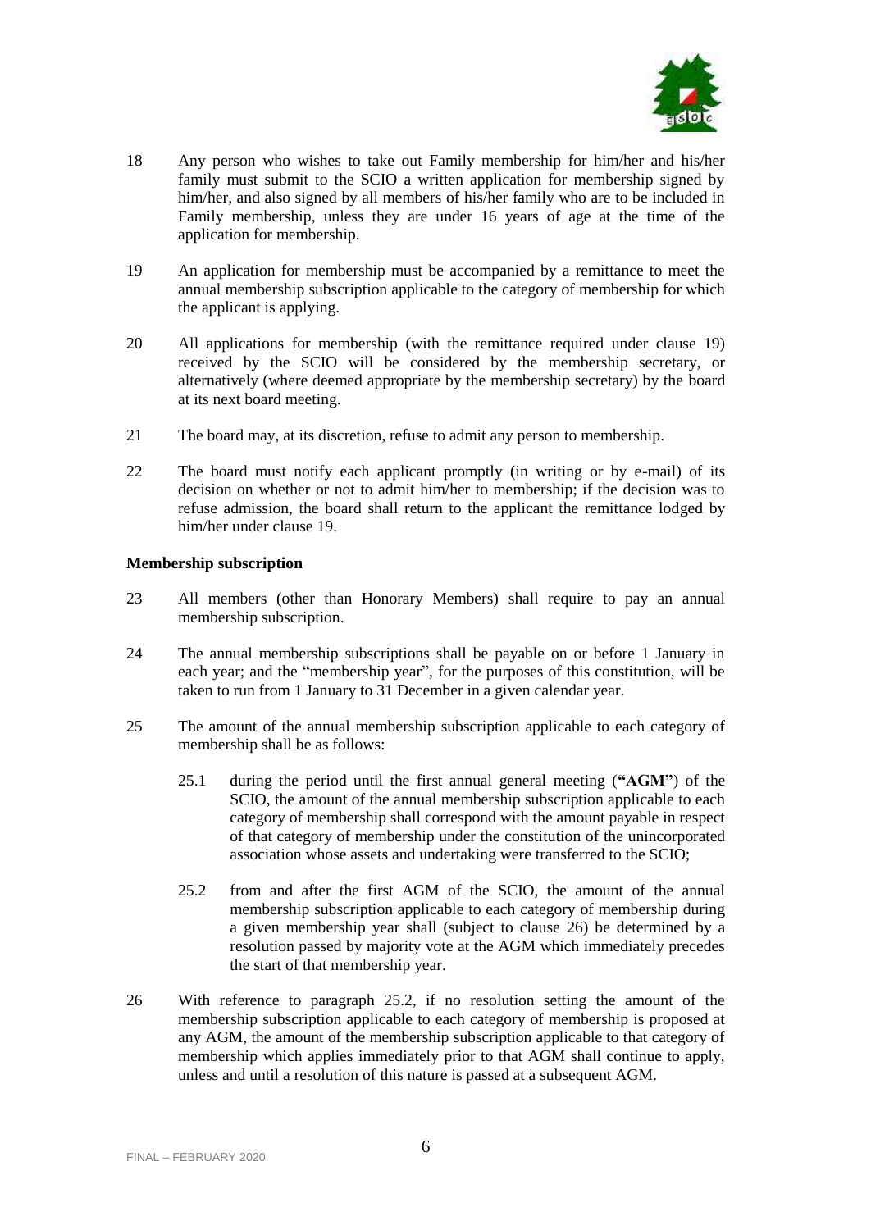

- 18 Any person who wishes to take out Family membership for him/her and his/her family must submit to the SCIO a written application for membership signed by him/her, and also signed by all members of his/her family who are to be included in Family membership, unless they are under 16 years of age at the time of the application for membership.
- 19 An application for membership must be accompanied by a remittance to meet the annual membership subscription applicable to the category of membership for which the applicant is applying.
- 20 All applications for membership (with the remittance required under clause 19) received by the SCIO will be considered by the membership secretary, or alternatively (where deemed appropriate by the membership secretary) by the board at its next board meeting.
- 21 The board may, at its discretion, refuse to admit any person to membership.
- 22 The board must notify each applicant promptly (in writing or by e-mail) of its decision on whether or not to admit him/her to membership; if the decision was to refuse admission, the board shall return to the applicant the remittance lodged by him/her under clause 19.

# **Membership subscription**

- 23 All members (other than Honorary Members) shall require to pay an annual membership subscription.
- 24 The annual membership subscriptions shall be payable on or before 1 January in each year; and the "membership year", for the purposes of this constitution, will be taken to run from 1 January to 31 December in a given calendar year.
- 25 The amount of the annual membership subscription applicable to each category of membership shall be as follows:
	- 25.1 during the period until the first annual general meeting (**"AGM"**) of the SCIO, the amount of the annual membership subscription applicable to each category of membership shall correspond with the amount payable in respect of that category of membership under the constitution of the unincorporated association whose assets and undertaking were transferred to the SCIO;
	- 25.2 from and after the first AGM of the SCIO, the amount of the annual membership subscription applicable to each category of membership during a given membership year shall (subject to clause 26) be determined by a resolution passed by majority vote at the AGM which immediately precedes the start of that membership year.
- 26 With reference to paragraph 25.2, if no resolution setting the amount of the membership subscription applicable to each category of membership is proposed at any AGM, the amount of the membership subscription applicable to that category of membership which applies immediately prior to that AGM shall continue to apply, unless and until a resolution of this nature is passed at a subsequent AGM.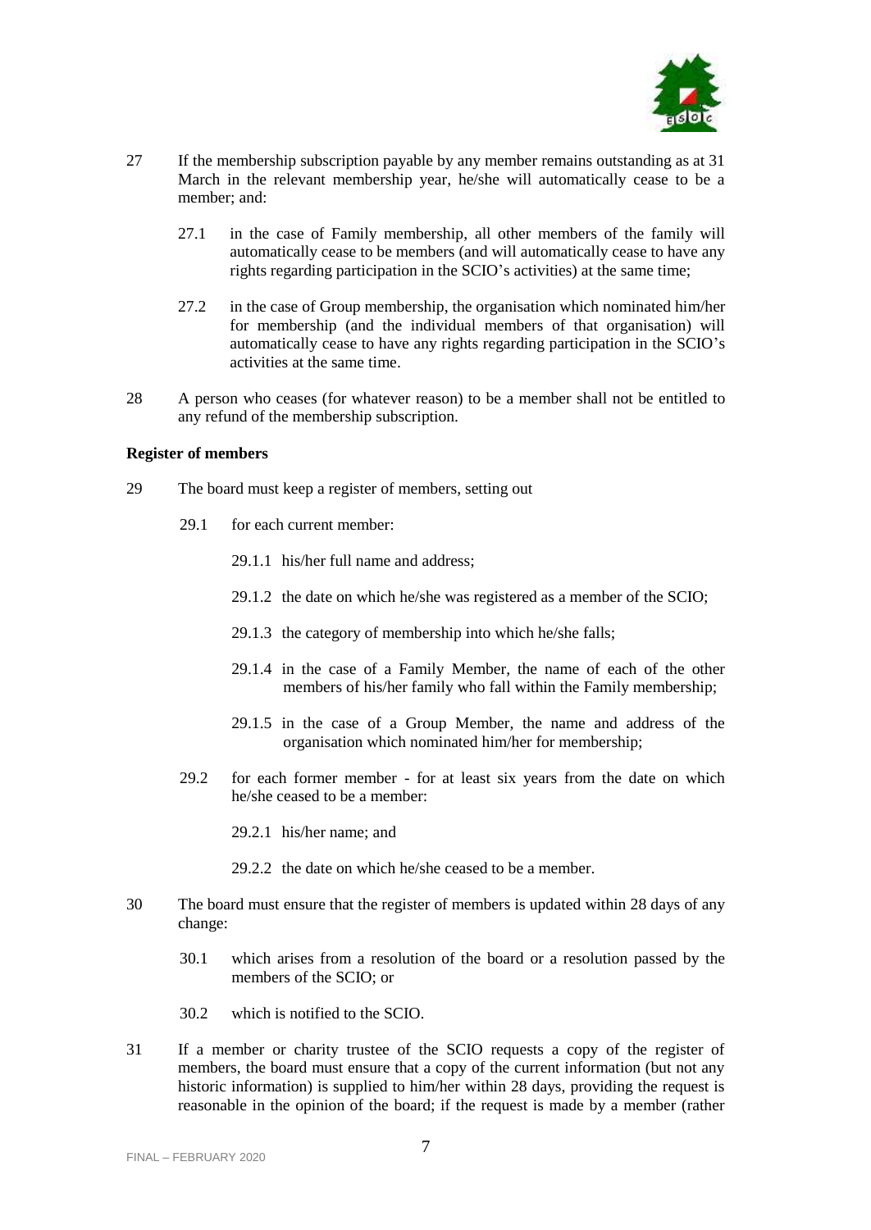

- 27 If the membership subscription payable by any member remains outstanding as at 31 March in the relevant membership year, he/she will automatically cease to be a member; and:
	- 27.1 in the case of Family membership, all other members of the family will automatically cease to be members (and will automatically cease to have any rights regarding participation in the SCIO's activities) at the same time;
	- 27.2 in the case of Group membership, the organisation which nominated him/her for membership (and the individual members of that organisation) will automatically cease to have any rights regarding participation in the SCIO's activities at the same time.
- 28 A person who ceases (for whatever reason) to be a member shall not be entitled to any refund of the membership subscription.

### **Register of members**

- 29 The board must keep a register of members, setting out
	- 29.1 for each current member:
		- 29.1.1 his/her full name and address;
		- 29.1.2 the date on which he/she was registered as a member of the SCIO;
		- 29.1.3 the category of membership into which he/she falls;
		- 29.1.4 in the case of a Family Member, the name of each of the other members of his/her family who fall within the Family membership;
		- 29.1.5 in the case of a Group Member, the name and address of the organisation which nominated him/her for membership;
	- 29.2 for each former member for at least six years from the date on which he/she ceased to be a member:
		- 29.2.1 his/her name; and
		- 29.2.2 the date on which he/she ceased to be a member.
- 30 The board must ensure that the register of members is updated within 28 days of any change:
	- 30.1 which arises from a resolution of the board or a resolution passed by the members of the SCIO; or
	- 30.2 which is notified to the SCIO.
- 31 If a member or charity trustee of the SCIO requests a copy of the register of members, the board must ensure that a copy of the current information (but not any historic information) is supplied to him/her within 28 days, providing the request is reasonable in the opinion of the board; if the request is made by a member (rather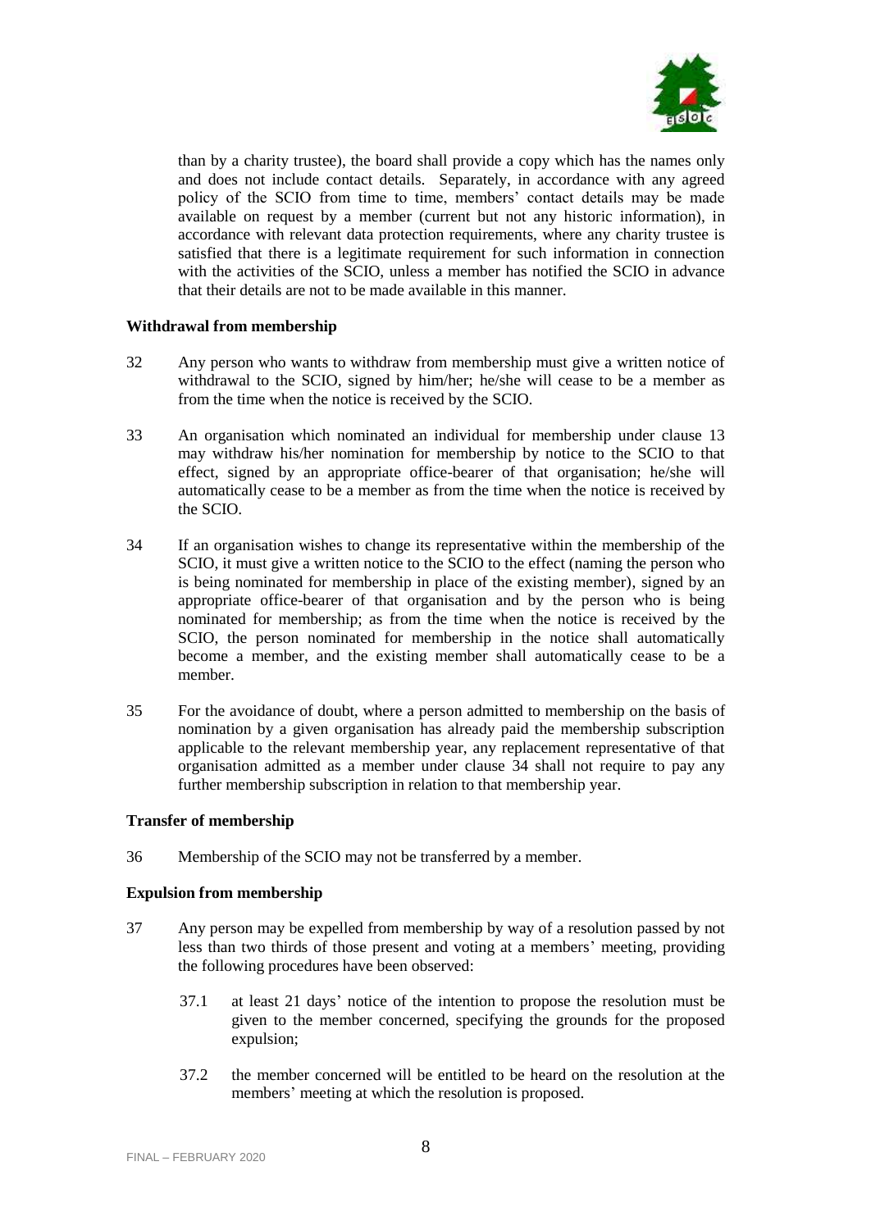

than by a charity trustee), the board shall provide a copy which has the names only and does not include contact details. Separately, in accordance with any agreed policy of the SCIO from time to time, members' contact details may be made available on request by a member (current but not any historic information), in accordance with relevant data protection requirements, where any charity trustee is satisfied that there is a legitimate requirement for such information in connection with the activities of the SCIO, unless a member has notified the SCIO in advance that their details are not to be made available in this manner.

# **Withdrawal from membership**

- 32 Any person who wants to withdraw from membership must give a written notice of withdrawal to the SCIO, signed by him/her; he/she will cease to be a member as from the time when the notice is received by the SCIO.
- 33 An organisation which nominated an individual for membership under clause 13 may withdraw his/her nomination for membership by notice to the SCIO to that effect, signed by an appropriate office-bearer of that organisation; he/she will automatically cease to be a member as from the time when the notice is received by the SCIO.
- 34 If an organisation wishes to change its representative within the membership of the SCIO, it must give a written notice to the SCIO to the effect (naming the person who is being nominated for membership in place of the existing member), signed by an appropriate office-bearer of that organisation and by the person who is being nominated for membership; as from the time when the notice is received by the SCIO, the person nominated for membership in the notice shall automatically become a member, and the existing member shall automatically cease to be a member.
- <span id="page-7-0"></span>35 For the avoidance of doubt, where a person admitted to membership on the basis of nomination by a given organisation has already paid the membership subscription applicable to the relevant membership year, any replacement representative of that organisation admitted as a member under clause 34 shall not require to pay any further membership subscription in relation to that membership year.

#### **Transfer of membership**

36 Membership of the SCIO may not be transferred by a member.

# **Expulsion from membership**

- 37 Any person may be expelled from membership by way of a resolution passed by not less than two thirds of those present and voting at a members' meeting, providing the following procedures have been observed:
	- 37.1 at least 21 days' notice of the intention to propose the resolution must be given to the member concerned, specifying the grounds for the proposed expulsion;
	- 37.2 the member concerned will be entitled to be heard on the resolution at the members' meeting at which the resolution is proposed.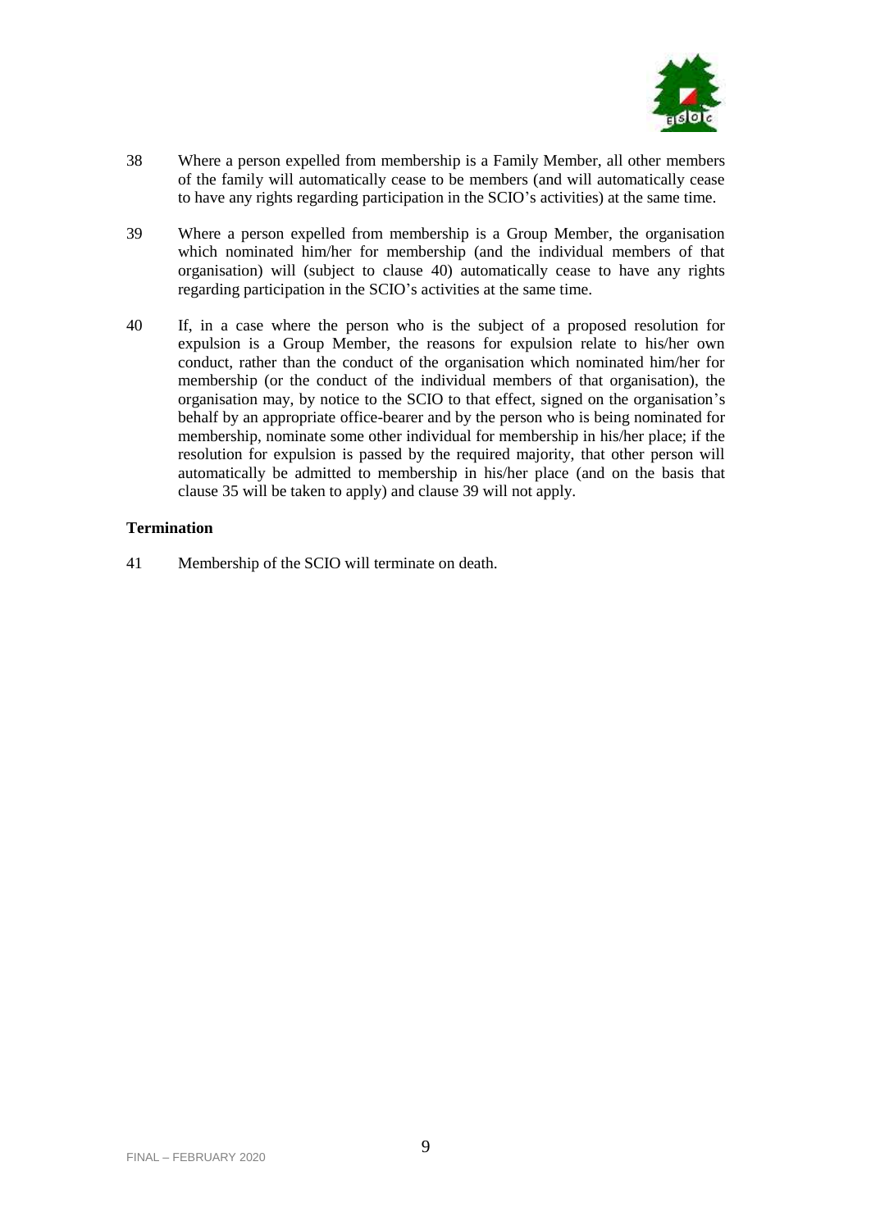

- 38 Where a person expelled from membership is a Family Member, all other members of the family will automatically cease to be members (and will automatically cease to have any rights regarding participation in the SCIO's activities) at the same time.
- 39 Where a person expelled from membership is a Group Member, the organisation which nominated him/her for membership (and the individual members of that organisation) will (subject to clause 40) automatically cease to have any rights regarding participation in the SCIO's activities at the same time.
- 40 If, in a case where the person who is the subject of a proposed resolution for expulsion is a Group Member, the reasons for expulsion relate to his/her own conduct, rather than the conduct of the organisation which nominated him/her for membership (or the conduct of the individual members of that organisation), the organisation may, by notice to the SCIO to that effect, signed on the organisation's behalf by an appropriate office-bearer and by the person who is being nominated for membership, nominate some other individual for membership in his/her place; if the resolution for expulsion is passed by the required majority, that other person will automatically be admitted to membership in his/her place (and on the basis that clause [35](#page-7-0) will be taken to apply) and clause 39 will not apply.

# **Termination**

41 Membership of the SCIO will terminate on death.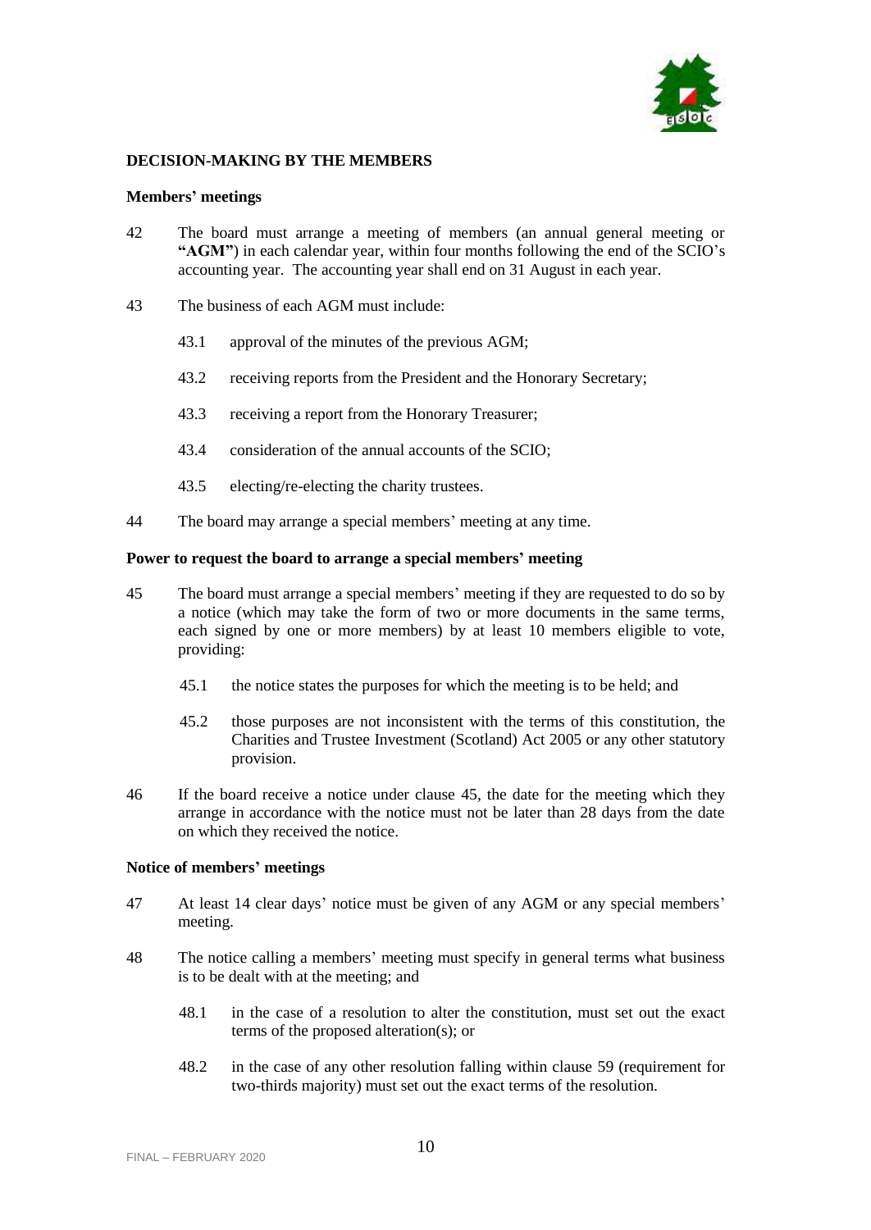

### **DECISION-MAKING BY THE MEMBERS**

#### **Members' meetings**

- 42 The board must arrange a meeting of members (an annual general meeting or **"AGM"**) in each calendar year, within four months following the end of the SCIO's accounting year. The accounting year shall end on 31 August in each year.
- 43 The business of each AGM must include:
	- 43.1 approval of the minutes of the previous AGM;
	- 43.2 receiving reports from the President and the Honorary Secretary;
	- 43.3 receiving a report from the Honorary Treasurer;
	- 43.4 consideration of the annual accounts of the SCIO;
	- 43.5 electing/re-electing the charity trustees.
- 44 The board may arrange a special members' meeting at any time.

#### **Power to request the board to arrange a special members' meeting**

- 45 The board must arrange a special members' meeting if they are requested to do so by a notice (which may take the form of two or more documents in the same terms, each signed by one or more members) by at least 10 members eligible to vote, providing:
	- 45.1 the notice states the purposes for which the meeting is to be held; and
	- 45.2 those purposes are not inconsistent with the terms of this constitution, the Charities and Trustee Investment (Scotland) Act 2005 or any other statutory provision.
- 46 If the board receive a notice under clause 45, the date for the meeting which they arrange in accordance with the notice must not be later than 28 days from the date on which they received the notice.

#### **Notice of members' meetings**

- 47 At least 14 clear days' notice must be given of any AGM or any special members' meeting.
- 48 The notice calling a members' meeting must specify in general terms what business is to be dealt with at the meeting; and
	- 48.1 in the case of a resolution to alter the constitution, must set out the exact terms of the proposed alteration(s); or
	- 48.2 in the case of any other resolution falling within clause 59 (requirement for two-thirds majority) must set out the exact terms of the resolution.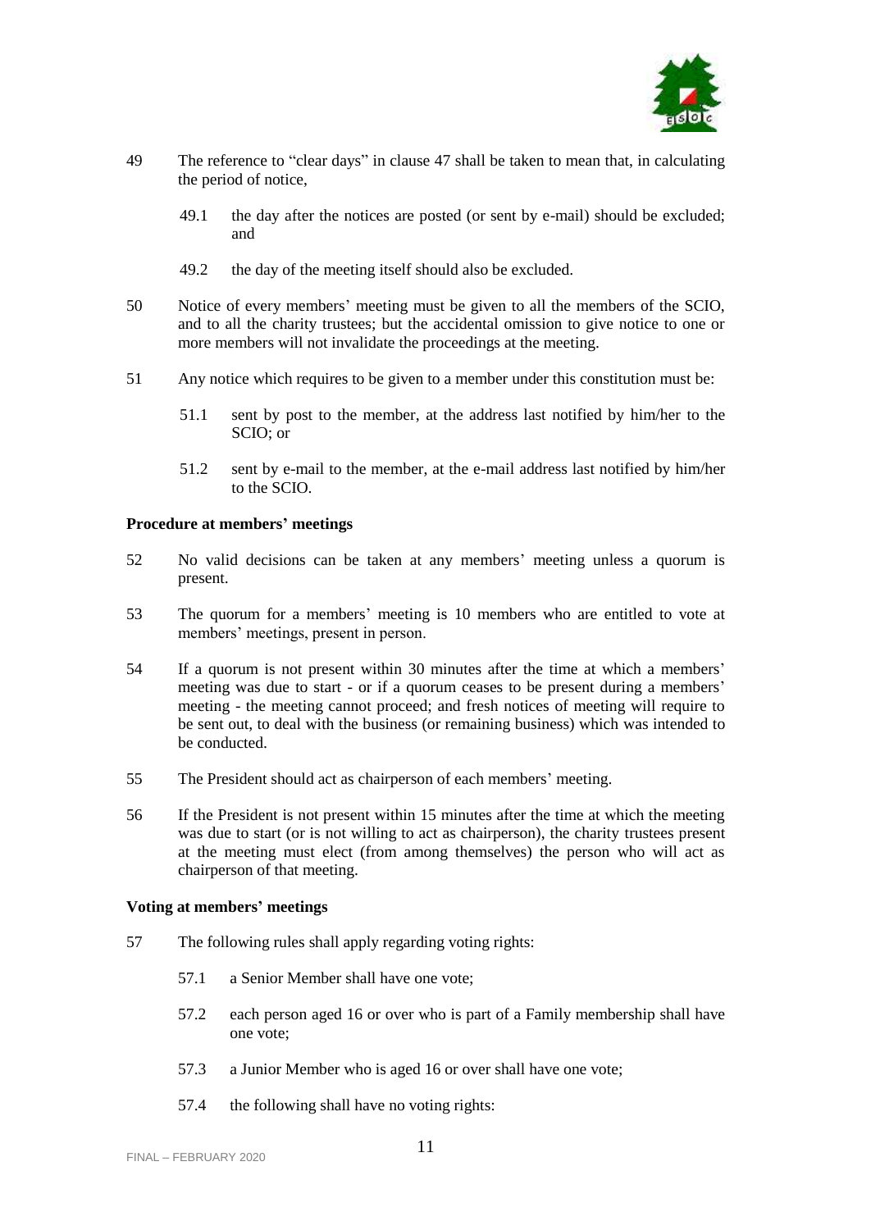

- 49 The reference to "clear days" in clause 47 shall be taken to mean that, in calculating the period of notice,
	- 49.1 the day after the notices are posted (or sent by e-mail) should be excluded; and
	- 49.2 the day of the meeting itself should also be excluded.
- 50 Notice of every members' meeting must be given to all the members of the SCIO, and to all the charity trustees; but the accidental omission to give notice to one or more members will not invalidate the proceedings at the meeting.
- 51 Any notice which requires to be given to a member under this constitution must be:
	- 51.1 sent by post to the member, at the address last notified by him/her to the SCIO; or
	- 51.2 sent by e-mail to the member, at the e-mail address last notified by him/her to the SCIO.

# **Procedure at members' meetings**

- 52 No valid decisions can be taken at any members' meeting unless a quorum is present.
- 53 The quorum for a members' meeting is 10 members who are entitled to vote at members' meetings, present in person.
- 54 If a quorum is not present within 30 minutes after the time at which a members' meeting was due to start - or if a quorum ceases to be present during a members' meeting - the meeting cannot proceed; and fresh notices of meeting will require to be sent out, to deal with the business (or remaining business) which was intended to be conducted.
- 55 The President should act as chairperson of each members' meeting.
- 56 If the President is not present within 15 minutes after the time at which the meeting was due to start (or is not willing to act as chairperson), the charity trustees present at the meeting must elect (from among themselves) the person who will act as chairperson of that meeting.

# **Voting at members' meetings**

- 57 The following rules shall apply regarding voting rights:
	- 57.1 a Senior Member shall have one vote;
	- 57.2 each person aged 16 or over who is part of a Family membership shall have one vote;
	- 57.3 a Junior Member who is aged 16 or over shall have one vote;
	- 57.4 the following shall have no voting rights: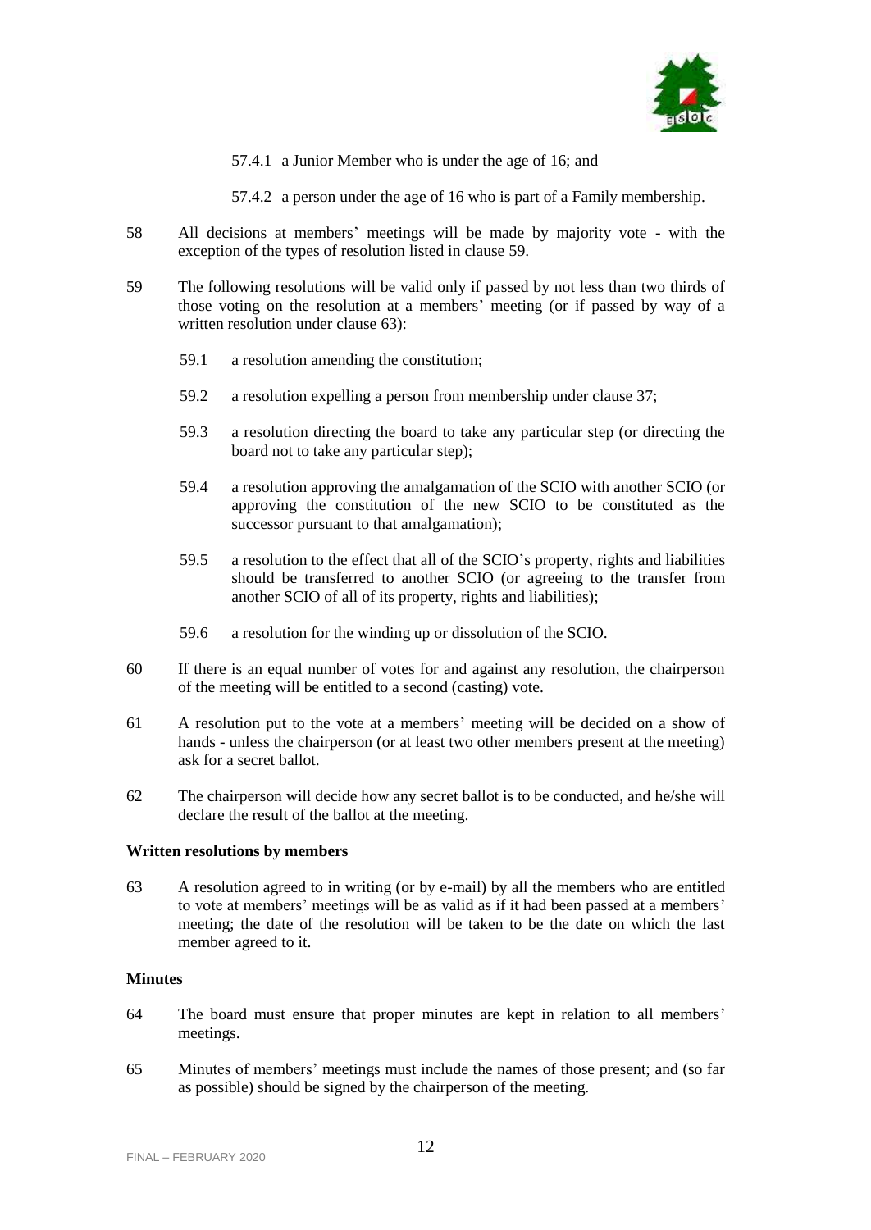

57.4.1 a Junior Member who is under the age of 16; and

57.4.2 a person under the age of 16 who is part of a Family membership.

- 58 All decisions at members' meetings will be made by majority vote with the exception of the types of resolution listed in clause 59.
- 59 The following resolutions will be valid only if passed by not less than two thirds of those voting on the resolution at a members' meeting (or if passed by way of a written resolution under clause 63):
	- 59.1 a resolution amending the constitution;
	- 59.2 a resolution expelling a person from membership under clause 37;
	- 59.3 a resolution directing the board to take any particular step (or directing the board not to take any particular step);
	- 59.4 a resolution approving the amalgamation of the SCIO with another SCIO (or approving the constitution of the new SCIO to be constituted as the successor pursuant to that amalgamation);
	- 59.5 a resolution to the effect that all of the SCIO's property, rights and liabilities should be transferred to another SCIO (or agreeing to the transfer from another SCIO of all of its property, rights and liabilities);
	- 59.6 a resolution for the winding up or dissolution of the SCIO.
- 60 If there is an equal number of votes for and against any resolution, the chairperson of the meeting will be entitled to a second (casting) vote.
- 61 A resolution put to the vote at a members' meeting will be decided on a show of hands - unless the chairperson (or at least two other members present at the meeting) ask for a secret ballot.
- 62 The chairperson will decide how any secret ballot is to be conducted, and he/she will declare the result of the ballot at the meeting.

#### **Written resolutions by members**

63 A resolution agreed to in writing (or by e-mail) by all the members who are entitled to vote at members' meetings will be as valid as if it had been passed at a members' meeting; the date of the resolution will be taken to be the date on which the last member agreed to it.

#### **Minutes**

- 64 The board must ensure that proper minutes are kept in relation to all members' meetings.
- 65 Minutes of members' meetings must include the names of those present; and (so far as possible) should be signed by the chairperson of the meeting.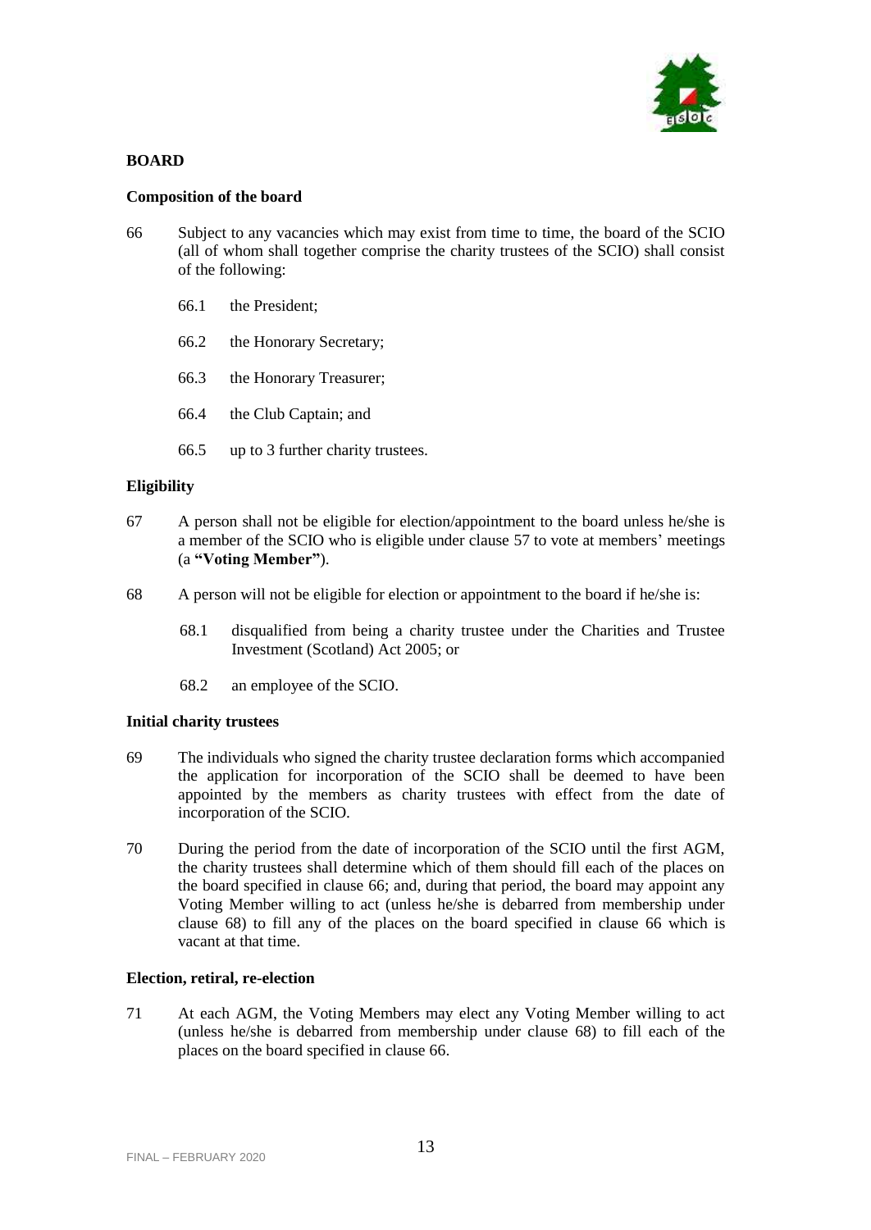

# **BOARD**

# **Composition of the board**

- 66 Subject to any vacancies which may exist from time to time, the board of the SCIO (all of whom shall together comprise the charity trustees of the SCIO) shall consist of the following:
	- 66.1 the President;
	- 66.2 the Honorary Secretary;
	- 66.3 the Honorary Treasurer;
	- 66.4 the Club Captain; and
	- 66.5 up to 3 further charity trustees.

# **Eligibility**

- 67 A person shall not be eligible for election/appointment to the board unless he/she is a member of the SCIO who is eligible under clause 57 to vote at members' meetings (a **"Voting Member"**).
- 68 A person will not be eligible for election or appointment to the board if he/she is:
	- 68.1 disqualified from being a charity trustee under the Charities and Trustee Investment (Scotland) Act 2005; or
	- 68.2 an employee of the SCIO.

# **Initial charity trustees**

- 69 The individuals who signed the charity trustee declaration forms which accompanied the application for incorporation of the SCIO shall be deemed to have been appointed by the members as charity trustees with effect from the date of incorporation of the SCIO.
- 70 During the period from the date of incorporation of the SCIO until the first AGM, the charity trustees shall determine which of them should fill each of the places on the board specified in clause 66; and, during that period, the board may appoint any Voting Member willing to act (unless he/she is debarred from membership under clause 68) to fill any of the places on the board specified in clause 66 which is vacant at that time.

# **Election, retiral, re-election**

71 At each AGM, the Voting Members may elect any Voting Member willing to act (unless he/she is debarred from membership under clause 68) to fill each of the places on the board specified in clause 66.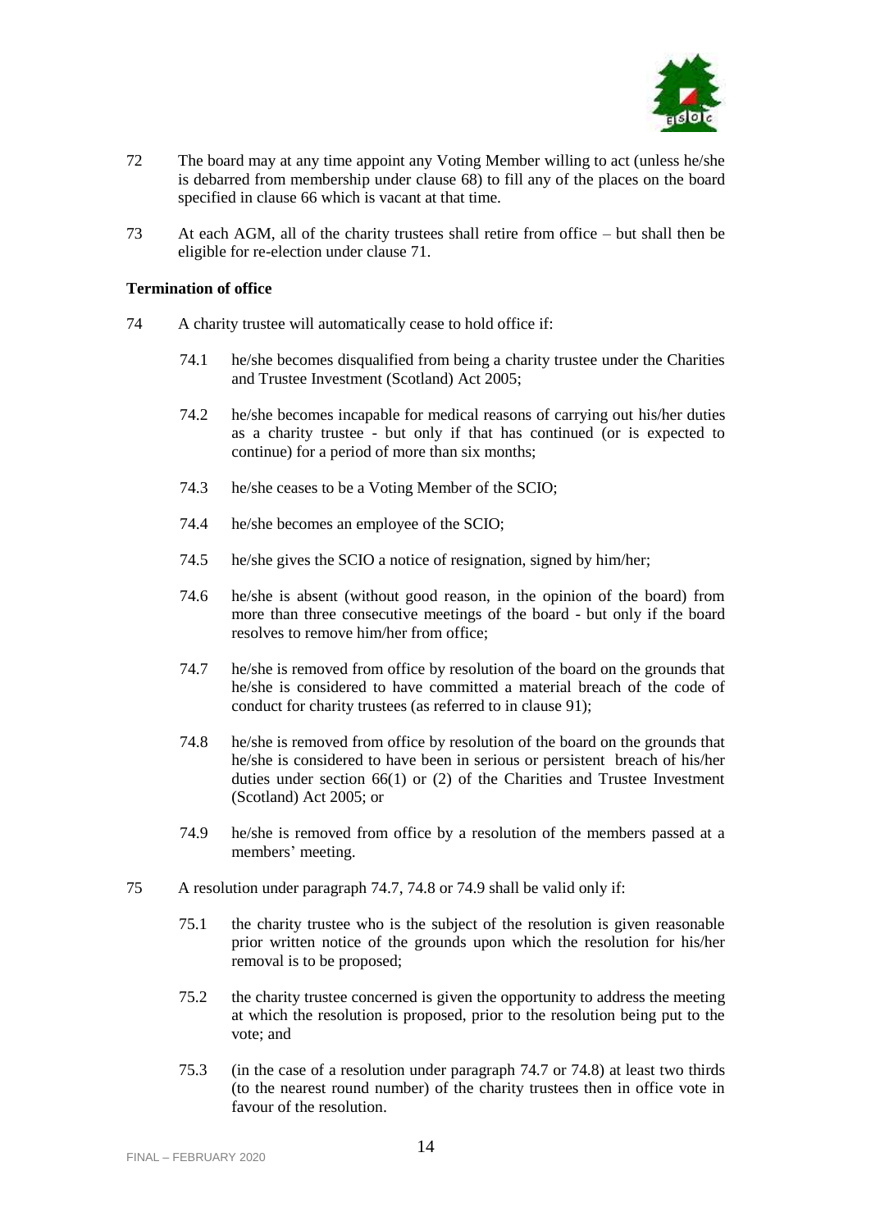

- 72 The board may at any time appoint any Voting Member willing to act (unless he/she is debarred from membership under clause 68) to fill any of the places on the board specified in clause 66 which is vacant at that time.
- 73 At each AGM, all of the charity trustees shall retire from office but shall then be eligible for re-election under clause 71.

#### **Termination of office**

- 74 A charity trustee will automatically cease to hold office if:
	- 74.1 he/she becomes disqualified from being a charity trustee under the Charities and Trustee Investment (Scotland) Act 2005;
	- 74.2 he/she becomes incapable for medical reasons of carrying out his/her duties as a charity trustee - but only if that has continued (or is expected to continue) for a period of more than six months;
	- 74.3 he/she ceases to be a Voting Member of the SCIO;
	- 74.4 he/she becomes an employee of the SCIO;
	- 74.5 he/she gives the SCIO a notice of resignation, signed by him/her;
	- 74.6 he/she is absent (without good reason, in the opinion of the board) from more than three consecutive meetings of the board - but only if the board resolves to remove him/her from office;
	- 74.7 he/she is removed from office by resolution of the board on the grounds that he/she is considered to have committed a material breach of the code of conduct for charity trustees (as referred to in clause 91);
	- 74.8 he/she is removed from office by resolution of the board on the grounds that he/she is considered to have been in serious or persistent breach of his/her duties under section 66(1) or (2) of the Charities and Trustee Investment (Scotland) Act 2005; or
	- 74.9 he/she is removed from office by a resolution of the members passed at a members' meeting.
- 75 A resolution under paragraph 74.7, 74.8 or 74.9 shall be valid only if:
	- 75.1 the charity trustee who is the subject of the resolution is given reasonable prior written notice of the grounds upon which the resolution for his/her removal is to be proposed;
	- 75.2 the charity trustee concerned is given the opportunity to address the meeting at which the resolution is proposed, prior to the resolution being put to the vote; and
	- 75.3 (in the case of a resolution under paragraph 74.7 or 74.8) at least two thirds (to the nearest round number) of the charity trustees then in office vote in favour of the resolution.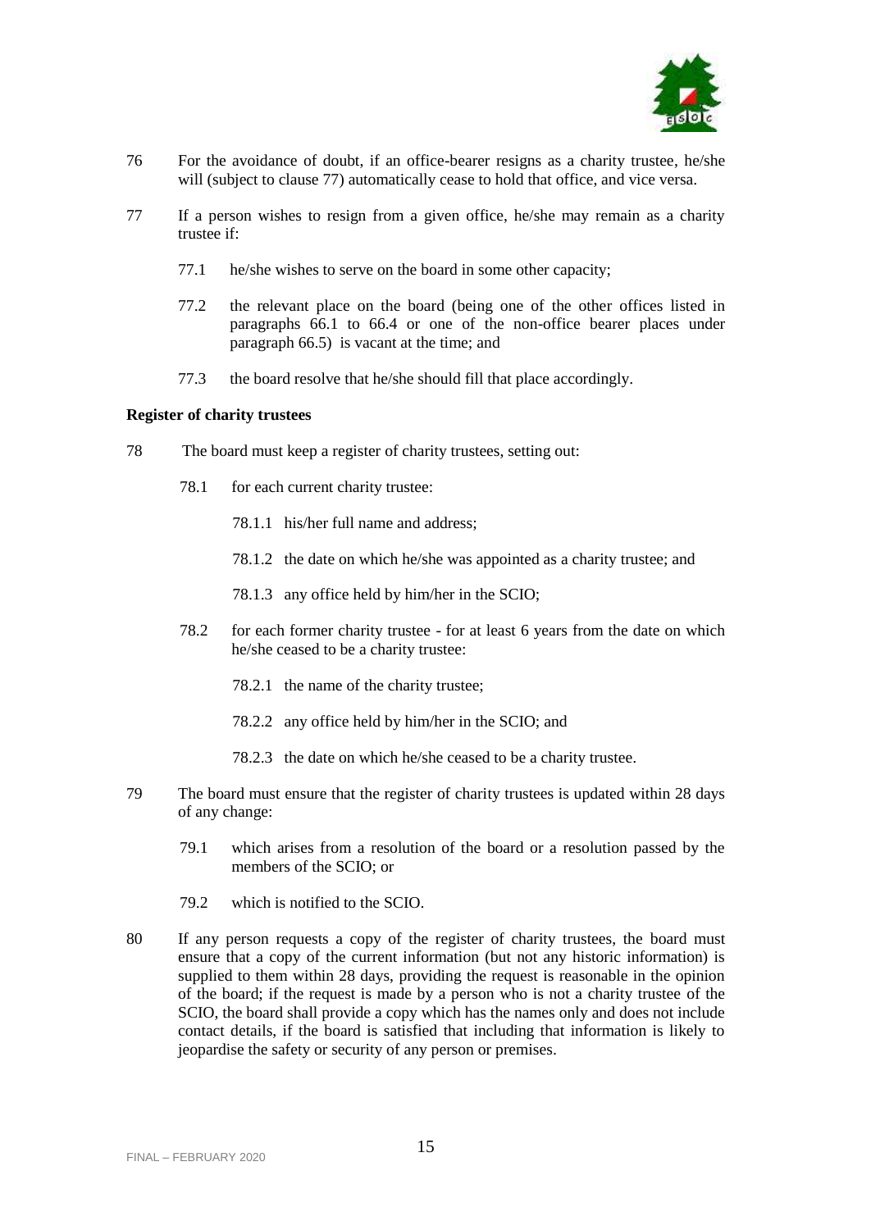

- 76 For the avoidance of doubt, if an office-bearer resigns as a charity trustee, he/she will (subject to clause 77) automatically cease to hold that office, and vice versa.
- 77 If a person wishes to resign from a given office, he/she may remain as a charity trustee if:
	- 77.1 he/she wishes to serve on the board in some other capacity;
	- 77.2 the relevant place on the board (being one of the other offices listed in paragraphs 66.1 to 66.4 or one of the non-office bearer places under paragraph 66.5) is vacant at the time; and
	- 77.3 the board resolve that he/she should fill that place accordingly.

### **Register of charity trustees**

- 78 The board must keep a register of charity trustees, setting out:
	- 78.1 for each current charity trustee:
		- 78.1.1 his/her full name and address;
		- 78.1.2 the date on which he/she was appointed as a charity trustee; and
		- 78.1.3 any office held by him/her in the SCIO;
	- 78.2 for each former charity trustee for at least 6 years from the date on which he/she ceased to be a charity trustee:
		- 78.2.1 the name of the charity trustee;
		- 78.2.2 any office held by him/her in the SCIO; and
		- 78.2.3 the date on which he/she ceased to be a charity trustee.
- 79 The board must ensure that the register of charity trustees is updated within 28 days of any change:
	- 79.1 which arises from a resolution of the board or a resolution passed by the members of the SCIO; or
	- 79.2 which is notified to the SCIO.
- 80 If any person requests a copy of the register of charity trustees, the board must ensure that a copy of the current information (but not any historic information) is supplied to them within 28 days, providing the request is reasonable in the opinion of the board; if the request is made by a person who is not a charity trustee of the SCIO, the board shall provide a copy which has the names only and does not include contact details, if the board is satisfied that including that information is likely to jeopardise the safety or security of any person or premises.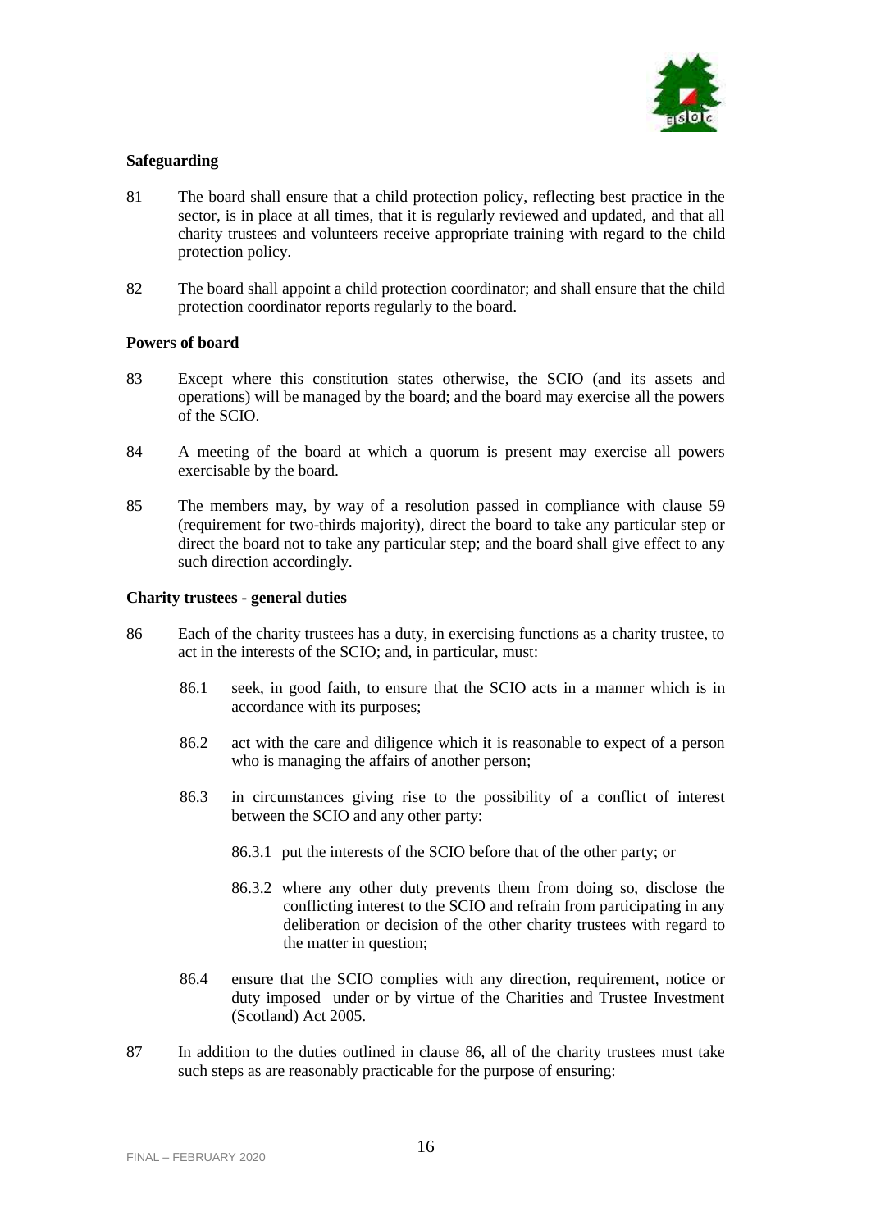

# **Safeguarding**

- 81 The board shall ensure that a child protection policy, reflecting best practice in the sector, is in place at all times, that it is regularly reviewed and updated, and that all charity trustees and volunteers receive appropriate training with regard to the child protection policy.
- 82 The board shall appoint a child protection coordinator; and shall ensure that the child protection coordinator reports regularly to the board.

# **Powers of board**

- 83 Except where this constitution states otherwise, the SCIO (and its assets and operations) will be managed by the board; and the board may exercise all the powers of the SCIO.
- 84 A meeting of the board at which a quorum is present may exercise all powers exercisable by the board.
- 85 The members may, by way of a resolution passed in compliance with clause 59 (requirement for two-thirds majority), direct the board to take any particular step or direct the board not to take any particular step; and the board shall give effect to any such direction accordingly.

### **Charity trustees - general duties**

- 86 Each of the charity trustees has a duty, in exercising functions as a charity trustee, to act in the interests of the SCIO; and, in particular, must:
	- 86.1 seek, in good faith, to ensure that the SCIO acts in a manner which is in accordance with its purposes;
	- 86.2 act with the care and diligence which it is reasonable to expect of a person who is managing the affairs of another person;
	- 86.3 in circumstances giving rise to the possibility of a conflict of interest between the SCIO and any other party:
		- 86.3.1 put the interests of the SCIO before that of the other party; or
		- 86.3.2 where any other duty prevents them from doing so, disclose the conflicting interest to the SCIO and refrain from participating in any deliberation or decision of the other charity trustees with regard to the matter in question;
	- 86.4 ensure that the SCIO complies with any direction, requirement, notice or duty imposed under or by virtue of the Charities and Trustee Investment (Scotland) Act 2005.
- 87 In addition to the duties outlined in clause 86, all of the charity trustees must take such steps as are reasonably practicable for the purpose of ensuring: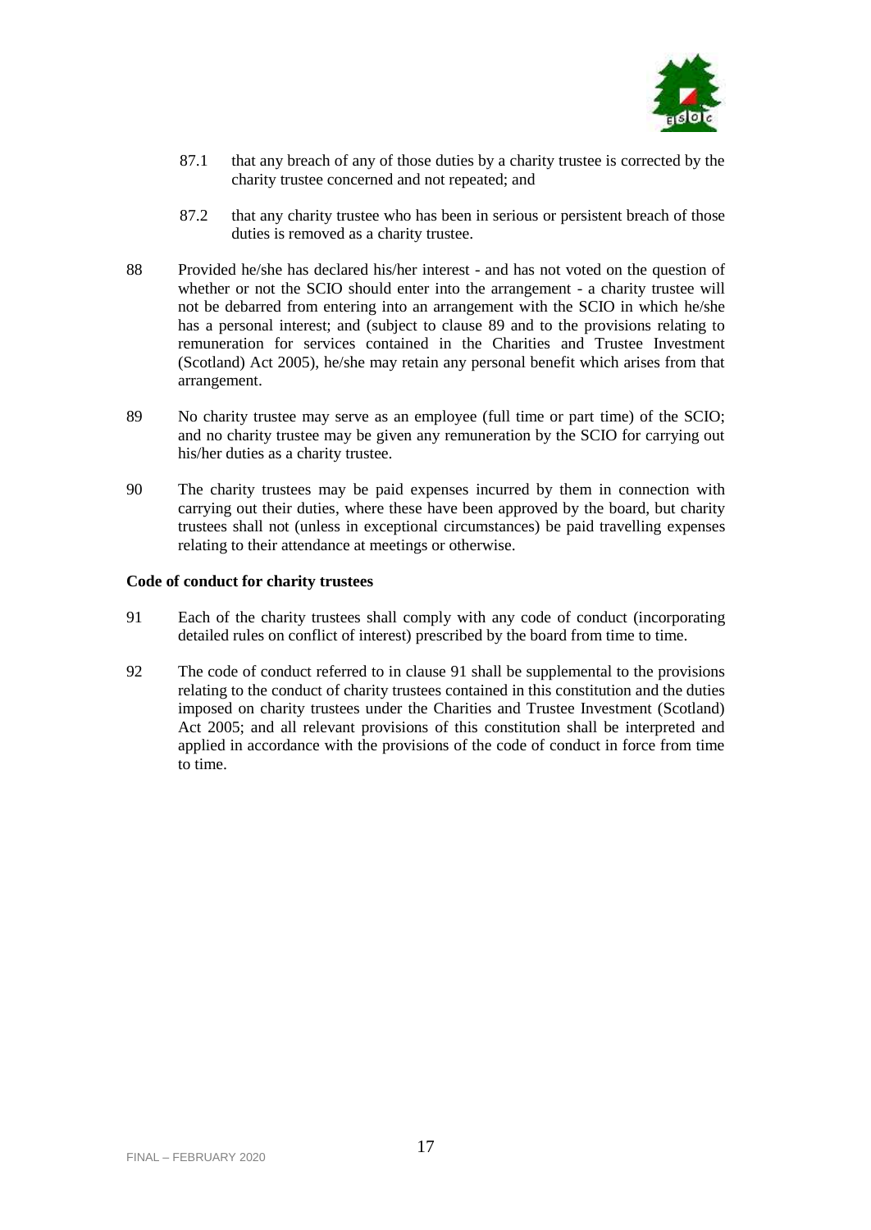

- 87.1 that any breach of any of those duties by a charity trustee is corrected by the charity trustee concerned and not repeated; and
- 87.2 that any charity trustee who has been in serious or persistent breach of those duties is removed as a charity trustee.
- 88 Provided he/she has declared his/her interest and has not voted on the question of whether or not the SCIO should enter into the arrangement - a charity trustee will not be debarred from entering into an arrangement with the SCIO in which he/she has a personal interest; and (subject to clause 89 and to the provisions relating to remuneration for services contained in the Charities and Trustee Investment (Scotland) Act 2005), he/she may retain any personal benefit which arises from that arrangement.
- 89 No charity trustee may serve as an employee (full time or part time) of the SCIO; and no charity trustee may be given any remuneration by the SCIO for carrying out his/her duties as a charity trustee.
- 90 The charity trustees may be paid expenses incurred by them in connection with carrying out their duties, where these have been approved by the board, but charity trustees shall not (unless in exceptional circumstances) be paid travelling expenses relating to their attendance at meetings or otherwise.

### **Code of conduct for charity trustees**

- 91 Each of the charity trustees shall comply with any code of conduct (incorporating detailed rules on conflict of interest) prescribed by the board from time to time.
- 92 The code of conduct referred to in clause 91 shall be supplemental to the provisions relating to the conduct of charity trustees contained in this constitution and the duties imposed on charity trustees under the Charities and Trustee Investment (Scotland) Act 2005; and all relevant provisions of this constitution shall be interpreted and applied in accordance with the provisions of the code of conduct in force from time to time.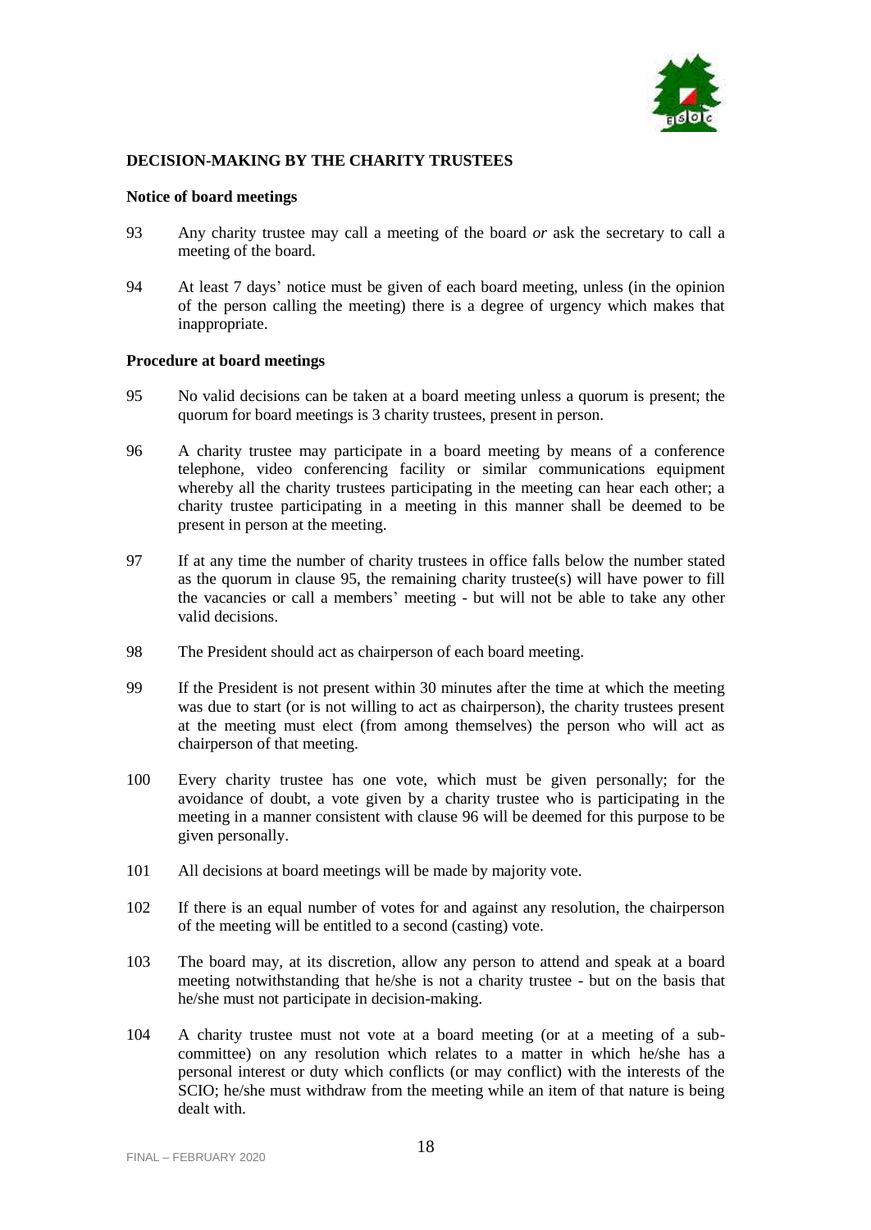

# **DECISION-MAKING BY THE CHARITY TRUSTEES**

#### **Notice of board meetings**

- 93 Any charity trustee may call a meeting of the board *or* ask the secretary to call a meeting of the board.
- 94 At least 7 days' notice must be given of each board meeting, unless (in the opinion of the person calling the meeting) there is a degree of urgency which makes that inappropriate.

#### **Procedure at board meetings**

- 95 No valid decisions can be taken at a board meeting unless a quorum is present; the quorum for board meetings is 3 charity trustees, present in person.
- 96 A charity trustee may participate in a board meeting by means of a conference telephone, video conferencing facility or similar communications equipment whereby all the charity trustees participating in the meeting can hear each other; a charity trustee participating in a meeting in this manner shall be deemed to be present in person at the meeting.
- 97 If at any time the number of charity trustees in office falls below the number stated as the quorum in clause 95, the remaining charity trustee(s) will have power to fill the vacancies or call a members' meeting - but will not be able to take any other valid decisions.
- 98 The President should act as chairperson of each board meeting.
- 99 If the President is not present within 30 minutes after the time at which the meeting was due to start (or is not willing to act as chairperson), the charity trustees present at the meeting must elect (from among themselves) the person who will act as chairperson of that meeting.
- 100 Every charity trustee has one vote, which must be given personally; for the avoidance of doubt, a vote given by a charity trustee who is participating in the meeting in a manner consistent with clause 96 will be deemed for this purpose to be given personally.
- 101 All decisions at board meetings will be made by majority vote.
- 102 If there is an equal number of votes for and against any resolution, the chairperson of the meeting will be entitled to a second (casting) vote.
- 103 The board may, at its discretion, allow any person to attend and speak at a board meeting notwithstanding that he/she is not a charity trustee - but on the basis that he/she must not participate in decision-making.
- 104 A charity trustee must not vote at a board meeting (or at a meeting of a subcommittee) on any resolution which relates to a matter in which he/she has a personal interest or duty which conflicts (or may conflict) with the interests of the SCIO; he/she must withdraw from the meeting while an item of that nature is being dealt with.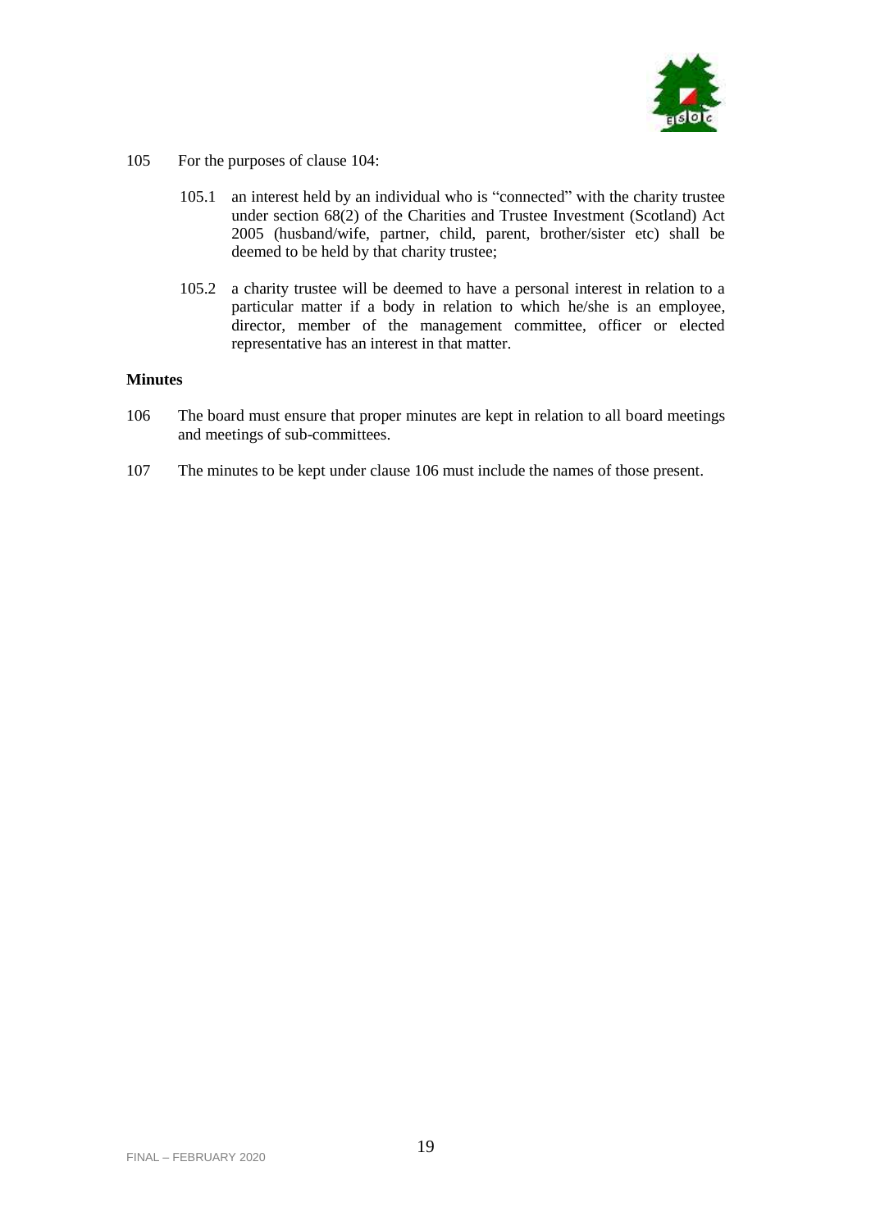

- 105 For the purposes of clause 104:
	- 105.1 an interest held by an individual who is "connected" with the charity trustee under section 68(2) of the Charities and Trustee Investment (Scotland) Act 2005 (husband/wife, partner, child, parent, brother/sister etc) shall be deemed to be held by that charity trustee;
	- 105.2 a charity trustee will be deemed to have a personal interest in relation to a particular matter if a body in relation to which he/she is an employee, director, member of the management committee, officer or elected representative has an interest in that matter.

# **Minutes**

- 106 The board must ensure that proper minutes are kept in relation to all board meetings and meetings of sub-committees.
- 107 The minutes to be kept under clause 106 must include the names of those present.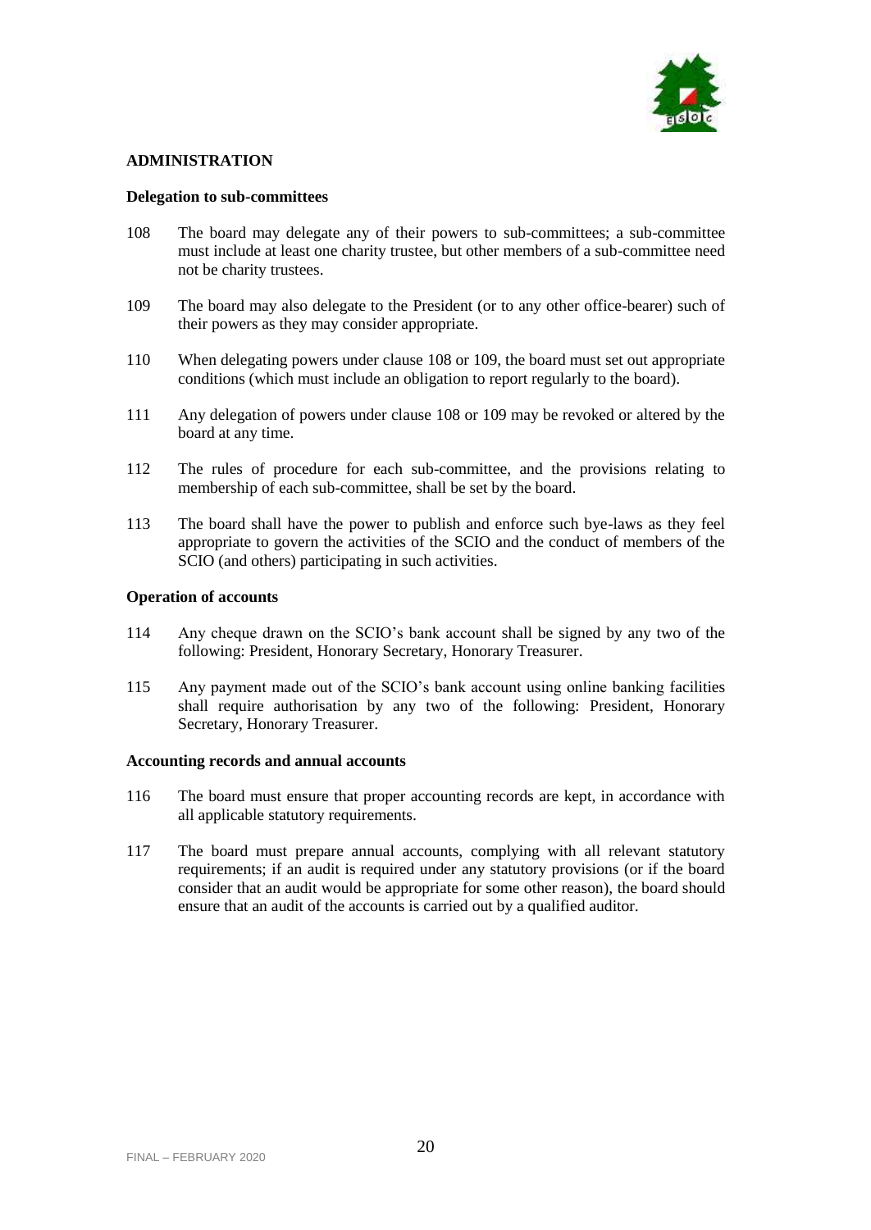

# **ADMINISTRATION**

### **Delegation to sub-committees**

- 108 The board may delegate any of their powers to sub-committees; a sub-committee must include at least one charity trustee, but other members of a sub-committee need not be charity trustees.
- 109 The board may also delegate to the President (or to any other office-bearer) such of their powers as they may consider appropriate.
- 110 When delegating powers under clause 108 or 109, the board must set out appropriate conditions (which must include an obligation to report regularly to the board).
- 111 Any delegation of powers under clause 108 or 109 may be revoked or altered by the board at any time.
- 112 The rules of procedure for each sub-committee, and the provisions relating to membership of each sub-committee, shall be set by the board.
- 113 The board shall have the power to publish and enforce such bye-laws as they feel appropriate to govern the activities of the SCIO and the conduct of members of the SCIO (and others) participating in such activities.

### **Operation of accounts**

- 114 Any cheque drawn on the SCIO's bank account shall be signed by any two of the following: President, Honorary Secretary, Honorary Treasurer.
- 115 Any payment made out of the SCIO's bank account using online banking facilities shall require authorisation by any two of the following: President, Honorary Secretary, Honorary Treasurer.

#### **Accounting records and annual accounts**

- 116 The board must ensure that proper accounting records are kept, in accordance with all applicable statutory requirements.
- 117 The board must prepare annual accounts, complying with all relevant statutory requirements; if an audit is required under any statutory provisions (or if the board consider that an audit would be appropriate for some other reason), the board should ensure that an audit of the accounts is carried out by a qualified auditor.